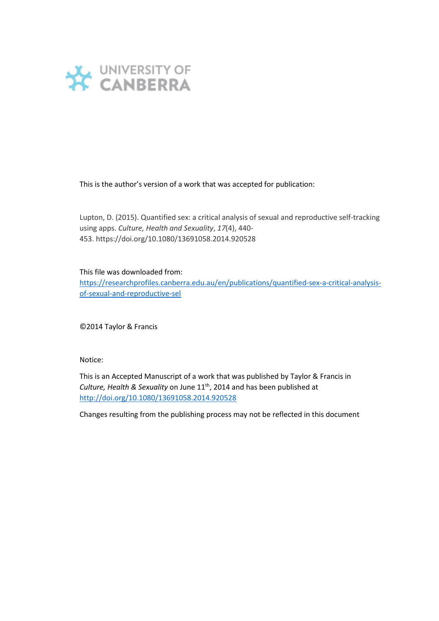

This is the author's version of a work that was accepted for publication:

Lupton, D. (2015). Quantified sex: a critical analysis of sexual and reproductive self-tracking using apps. *Culture, Health and Sexuality*, *17*(4), 440- 453. https://doi.org/10.1080/13691058.2014.920528

## This file was downloaded from:

[https://researchprofiles.canberra.edu.au/en/publications/quantified-sex-a-critical-analysis](https://researchprofiles.canberra.edu.au/en/publications/quantified-sex-a-critical-analysis-of-sexual-and-reproductive-sel)[of-sexual-and-reproductive-sel](https://researchprofiles.canberra.edu.au/en/publications/quantified-sex-a-critical-analysis-of-sexual-and-reproductive-sel)

©2014 Taylor & Francis

Notice:

This is an Accepted Manuscript of a work that was published by Taylor & Francis in Culture, Health & Sexuality on June 11<sup>th</sup>, 2014 and has been published at <http://doi.org/10.1080/13691058.2014.920528>

Changes resulting from the publishing process may not be reflected in this document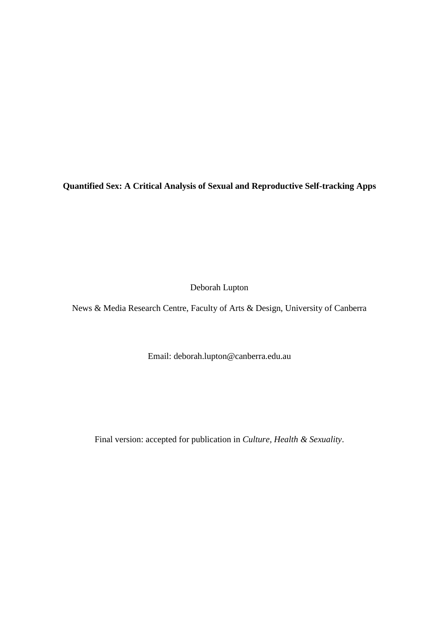**Quantified Sex: A Critical Analysis of Sexual and Reproductive Self-tracking Apps**

Deborah Lupton

News & Media Research Centre, Faculty of Arts & Design, University of Canberra

Email: deborah.lupton@canberra.edu.au

Final version: accepted for publication in *Culture, Health & Sexuality*.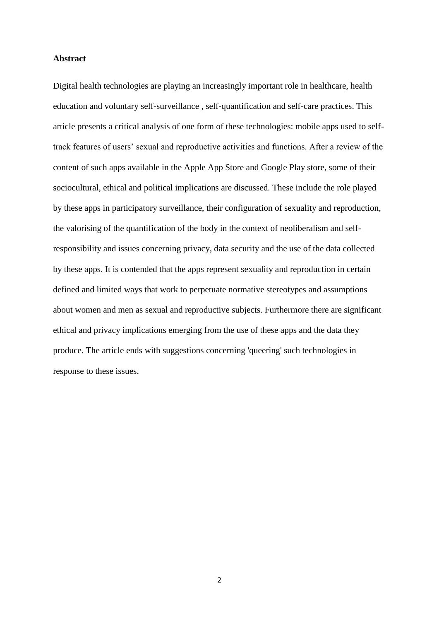### **Abstract**

Digital health technologies are playing an increasingly important role in healthcare, health education and voluntary self-surveillance , self-quantification and self-care practices. This article presents a critical analysis of one form of these technologies: mobile apps used to selftrack features of users' sexual and reproductive activities and functions. After a review of the content of such apps available in the Apple App Store and Google Play store, some of their sociocultural, ethical and political implications are discussed. These include the role played by these apps in participatory surveillance, their configuration of sexuality and reproduction, the valorising of the quantification of the body in the context of neoliberalism and selfresponsibility and issues concerning privacy, data security and the use of the data collected by these apps. It is contended that the apps represent sexuality and reproduction in certain defined and limited ways that work to perpetuate normative stereotypes and assumptions about women and men as sexual and reproductive subjects. Furthermore there are significant ethical and privacy implications emerging from the use of these apps and the data they produce. The article ends with suggestions concerning 'queering' such technologies in response to these issues.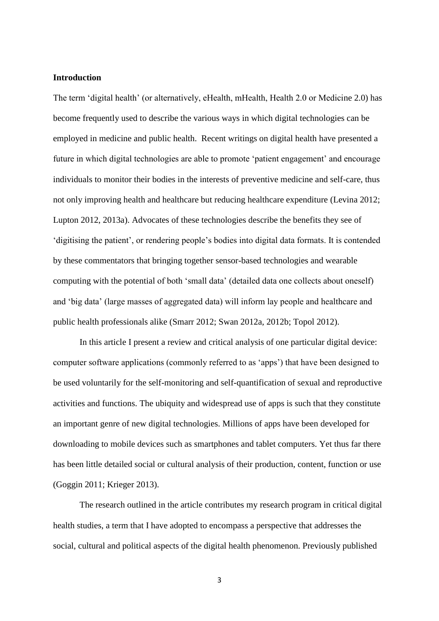# **Introduction**

The term 'digital health' (or alternatively, eHealth, mHealth, Health 2.0 or Medicine 2.0) has become frequently used to describe the various ways in which digital technologies can be employed in medicine and public health. Recent writings on digital health have presented a future in which digital technologies are able to promote 'patient engagement' and encourage individuals to monitor their bodies in the interests of preventive medicine and self-care, thus not only improving health and healthcare but reducing healthcare expenditure (Levina 2012; Lupton 2012, 2013a). Advocates of these technologies describe the benefits they see of 'digitising the patient', or rendering people's bodies into digital data formats. It is contended by these commentators that bringing together sensor-based technologies and wearable computing with the potential of both 'small data' (detailed data one collects about oneself) and 'big data' (large masses of aggregated data) will inform lay people and healthcare and public health professionals alike (Smarr 2012; Swan 2012a, 2012b; Topol 2012).

In this article I present a review and critical analysis of one particular digital device: computer software applications (commonly referred to as 'apps') that have been designed to be used voluntarily for the self-monitoring and self-quantification of sexual and reproductive activities and functions. The ubiquity and widespread use of apps is such that they constitute an important genre of new digital technologies. Millions of apps have been developed for downloading to mobile devices such as smartphones and tablet computers. Yet thus far there has been little detailed social or cultural analysis of their production, content, function or use (Goggin 2011; Krieger 2013).

The research outlined in the article contributes my research program in critical digital health studies, a term that I have adopted to encompass a perspective that addresses the social, cultural and political aspects of the digital health phenomenon. Previously published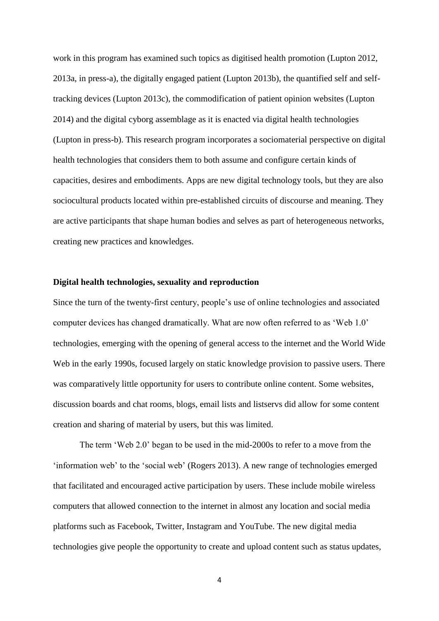work in this program has examined such topics as digitised health promotion (Lupton 2012, 2013a, in press-a), the digitally engaged patient (Lupton 2013b), the quantified self and selftracking devices (Lupton 2013c), the commodification of patient opinion websites (Lupton 2014) and the digital cyborg assemblage as it is enacted via digital health technologies (Lupton in press-b). This research program incorporates a sociomaterial perspective on digital health technologies that considers them to both assume and configure certain kinds of capacities, desires and embodiments. Apps are new digital technology tools, but they are also sociocultural products located within pre-established circuits of discourse and meaning. They are active participants that shape human bodies and selves as part of heterogeneous networks, creating new practices and knowledges.

### **Digital health technologies, sexuality and reproduction**

Since the turn of the twenty-first century, people's use of online technologies and associated computer devices has changed dramatically. What are now often referred to as 'Web 1.0' technologies, emerging with the opening of general access to the internet and the World Wide Web in the early 1990s, focused largely on static knowledge provision to passive users. There was comparatively little opportunity for users to contribute online content. Some websites, discussion boards and chat rooms, blogs, email lists and listservs did allow for some content creation and sharing of material by users, but this was limited.

The term 'Web 2.0' began to be used in the mid-2000s to refer to a move from the 'information web' to the 'social web' (Rogers 2013). A new range of technologies emerged that facilitated and encouraged active participation by users. These include mobile wireless computers that allowed connection to the internet in almost any location and social media platforms such as Facebook, Twitter, Instagram and YouTube. The new digital media technologies give people the opportunity to create and upload content such as status updates,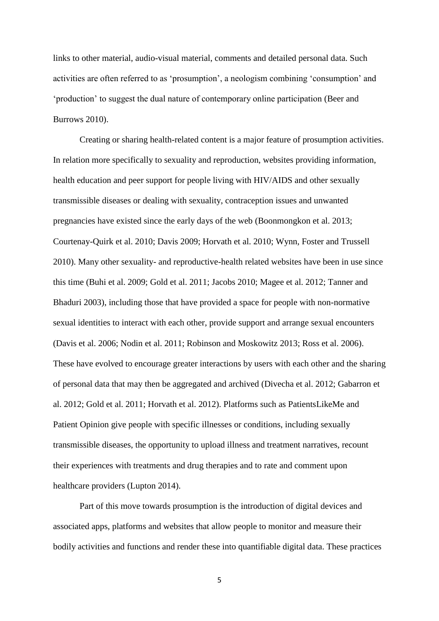links to other material, audio-visual material, comments and detailed personal data. Such activities are often referred to as 'prosumption', a neologism combining 'consumption' and 'production' to suggest the dual nature of contemporary online participation (Beer and Burrows 2010).

Creating or sharing health-related content is a major feature of prosumption activities. In relation more specifically to sexuality and reproduction, websites providing information, health education and peer support for people living with HIV/AIDS and other sexually transmissible diseases or dealing with sexuality, contraception issues and unwanted pregnancies have existed since the early days of the web (Boonmongkon et al. 2013; Courtenay-Quirk et al. 2010; Davis 2009; Horvath et al. 2010; Wynn, Foster and Trussell 2010). Many other sexuality- and reproductive-health related websites have been in use since this time (Buhi et al. 2009; Gold et al. 2011; Jacobs 2010; Magee et al. 2012; Tanner and Bhaduri 2003), including those that have provided a space for people with non-normative sexual identities to interact with each other, provide support and arrange sexual encounters (Davis et al. 2006; Nodin et al. 2011; Robinson and Moskowitz 2013; Ross et al. 2006). These have evolved to encourage greater interactions by users with each other and the sharing of personal data that may then be aggregated and archived (Divecha et al. 2012; Gabarron et al. 2012; Gold et al. 2011; Horvath et al. 2012). Platforms such as PatientsLikeMe and Patient Opinion give people with specific illnesses or conditions, including sexually transmissible diseases, the opportunity to upload illness and treatment narratives, recount their experiences with treatments and drug therapies and to rate and comment upon healthcare providers (Lupton 2014).

Part of this move towards prosumption is the introduction of digital devices and associated apps, platforms and websites that allow people to monitor and measure their bodily activities and functions and render these into quantifiable digital data. These practices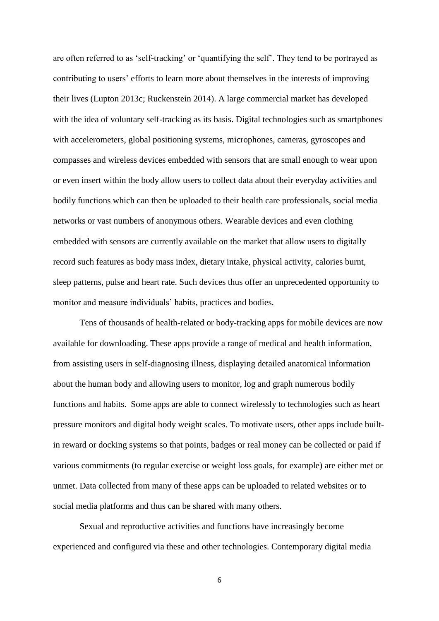are often referred to as 'self-tracking' or 'quantifying the self'. They tend to be portrayed as contributing to users' efforts to learn more about themselves in the interests of improving their lives (Lupton 2013c; Ruckenstein 2014). A large commercial market has developed with the idea of voluntary self-tracking as its basis. Digital technologies such as smartphones with accelerometers, global positioning systems, microphones, cameras, gyroscopes and compasses and wireless devices embedded with sensors that are small enough to wear upon or even insert within the body allow users to collect data about their everyday activities and bodily functions which can then be uploaded to their health care professionals, social media networks or vast numbers of anonymous others. Wearable devices and even clothing embedded with sensors are currently available on the market that allow users to digitally record such features as body mass index, dietary intake, physical activity, calories burnt, sleep patterns, pulse and heart rate. Such devices thus offer an unprecedented opportunity to monitor and measure individuals' habits, practices and bodies.

Tens of thousands of health-related or body-tracking apps for mobile devices are now available for downloading. These apps provide a range of medical and health information, from assisting users in self-diagnosing illness, displaying detailed anatomical information about the human body and allowing users to monitor, log and graph numerous bodily functions and habits. Some apps are able to connect wirelessly to technologies such as heart pressure monitors and digital body weight scales. To motivate users, other apps include builtin reward or docking systems so that points, badges or real money can be collected or paid if various commitments (to regular exercise or weight loss goals, for example) are either met or unmet. Data collected from many of these apps can be uploaded to related websites or to social media platforms and thus can be shared with many others.

Sexual and reproductive activities and functions have increasingly become experienced and configured via these and other technologies. Contemporary digital media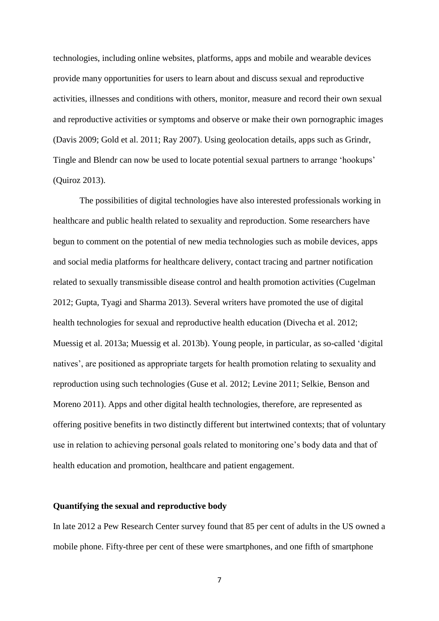technologies, including online websites, platforms, apps and mobile and wearable devices provide many opportunities for users to learn about and discuss sexual and reproductive activities, illnesses and conditions with others, monitor, measure and record their own sexual and reproductive activities or symptoms and observe or make their own pornographic images (Davis 2009; Gold et al. 2011; Ray 2007). Using geolocation details, apps such as Grindr, Tingle and Blendr can now be used to locate potential sexual partners to arrange 'hookups' (Quiroz 2013).

The possibilities of digital technologies have also interested professionals working in healthcare and public health related to sexuality and reproduction. Some researchers have begun to comment on the potential of new media technologies such as mobile devices, apps and social media platforms for healthcare delivery, contact tracing and partner notification related to sexually transmissible disease control and health promotion activities (Cugelman 2012; Gupta, Tyagi and Sharma 2013). Several writers have promoted the use of digital health technologies for sexual and reproductive health education (Divecha et al. 2012; Muessig et al. 2013a; Muessig et al. 2013b). Young people, in particular, as so-called 'digital natives', are positioned as appropriate targets for health promotion relating to sexuality and reproduction using such technologies (Guse et al. 2012; Levine 2011; Selkie, Benson and Moreno 2011). Apps and other digital health technologies, therefore, are represented as offering positive benefits in two distinctly different but intertwined contexts; that of voluntary use in relation to achieving personal goals related to monitoring one's body data and that of health education and promotion, healthcare and patient engagement.

### **Quantifying the sexual and reproductive body**

In late 2012 a Pew Research Center survey found that 85 per cent of adults in the US owned a mobile phone. Fifty-three per cent of these were smartphones, and one fifth of smartphone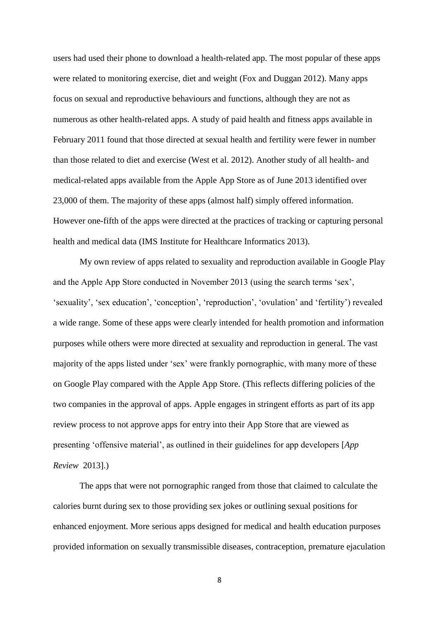users had used their phone to download a health-related app. The most popular of these apps were related to monitoring exercise, diet and weight (Fox and Duggan 2012). Many apps focus on sexual and reproductive behaviours and functions, although they are not as numerous as other health-related apps. A study of paid health and fitness apps available in February 2011 found that those directed at sexual health and fertility were fewer in number than those related to diet and exercise (West et al. 2012). Another study of all health- and medical-related apps available from the Apple App Store as of June 2013 identified over 23,000 of them. The majority of these apps (almost half) simply offered information. However one-fifth of the apps were directed at the practices of tracking or capturing personal health and medical data (IMS Institute for Healthcare Informatics 2013).

My own review of apps related to sexuality and reproduction available in Google Play and the Apple App Store conducted in November 2013 (using the search terms 'sex', 'sexuality', 'sex education', 'conception', 'reproduction', 'ovulation' and 'fertility') revealed a wide range. Some of these apps were clearly intended for health promotion and information purposes while others were more directed at sexuality and reproduction in general. The vast majority of the apps listed under 'sex' were frankly pornographic, with many more of these on Google Play compared with the Apple App Store. (This reflects differing policies of the two companies in the approval of apps. Apple engages in stringent efforts as part of its app review process to not approve apps for entry into their App Store that are viewed as presenting 'offensive material', as outlined in their guidelines for app developers [*App Review* 2013].)

The apps that were not pornographic ranged from those that claimed to calculate the calories burnt during sex to those providing sex jokes or outlining sexual positions for enhanced enjoyment. More serious apps designed for medical and health education purposes provided information on sexually transmissible diseases, contraception, premature ejaculation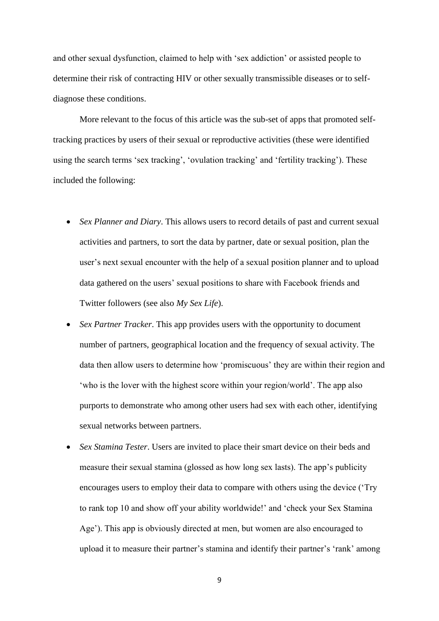and other sexual dysfunction, claimed to help with 'sex addiction' or assisted people to determine their risk of contracting HIV or other sexually transmissible diseases or to selfdiagnose these conditions.

More relevant to the focus of this article was the sub-set of apps that promoted selftracking practices by users of their sexual or reproductive activities (these were identified using the search terms 'sex tracking', 'ovulation tracking' and 'fertility tracking'). These included the following:

- *Sex Planner and Diary*. This allows users to record details of past and current sexual activities and partners, to sort the data by partner, date or sexual position, plan the user's next sexual encounter with the help of a sexual position planner and to upload data gathered on the users' sexual positions to share with Facebook friends and Twitter followers (see also *My Sex Life*).
- *Sex Partner Tracker*. This app provides users with the opportunity to document number of partners, geographical location and the frequency of sexual activity. The data then allow users to determine how 'promiscuous' they are within their region and 'who is the lover with the highest score within your region/world'. The app also purports to demonstrate who among other users had sex with each other, identifying sexual networks between partners.
- *Sex Stamina Tester*. Users are invited to place their smart device on their beds and measure their sexual stamina (glossed as how long sex lasts). The app's publicity encourages users to employ their data to compare with others using the device ('Try to rank top 10 and show off your ability worldwide!' and 'check your Sex Stamina Age'). This app is obviously directed at men, but women are also encouraged to upload it to measure their partner's stamina and identify their partner's 'rank' among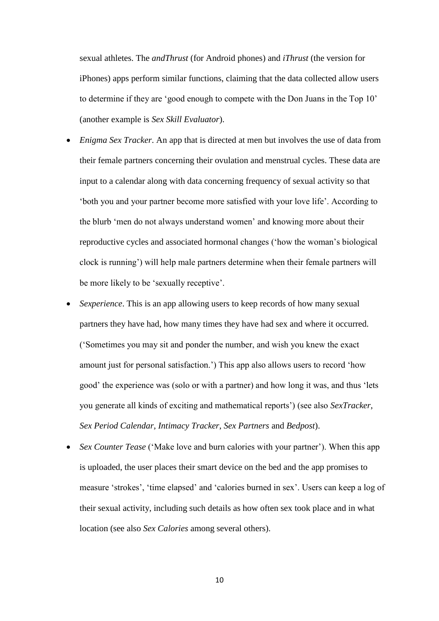sexual athletes. The *andThrust* (for Android phones) and *iThrust* (the version for iPhones) apps perform similar functions, claiming that the data collected allow users to determine if they are 'good enough to compete with the Don Juans in the Top 10' (another example is *Sex Skill Evaluator*).

- *Enigma Sex Tracker*. An app that is directed at men but involves the use of data from their female partners concerning their ovulation and menstrual cycles. These data are input to a calendar along with data concerning frequency of sexual activity so that 'both you and your partner become more satisfied with your love life'. According to the blurb 'men do not always understand women' and knowing more about their reproductive cycles and associated hormonal changes ('how the woman's biological clock is running') will help male partners determine when their female partners will be more likely to be 'sexually receptive'.
- *Sexperience*. This is an app allowing users to keep records of how many sexual partners they have had, how many times they have had sex and where it occurred. ('Sometimes you may sit and ponder the number, and wish you knew the exact amount just for personal satisfaction.') This app also allows users to record 'how good' the experience was (solo or with a partner) and how long it was, and thus 'lets you generate all kinds of exciting and mathematical reports') (see also *SexTracker*, *Sex Period Calendar*, *Intimacy Tracker*, *Sex Partners* and *Bedpost*).
- *Sex Counter Tease* ('Make love and burn calories with your partner'). When this app is uploaded, the user places their smart device on the bed and the app promises to measure 'strokes', 'time elapsed' and 'calories burned in sex'. Users can keep a log of their sexual activity, including such details as how often sex took place and in what location (see also *Sex Calories* among several others).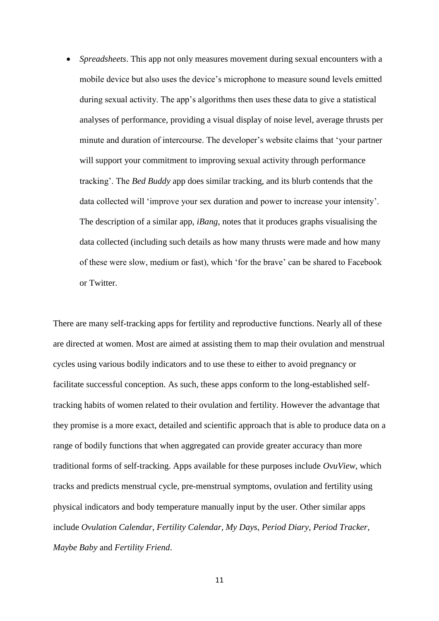*Spreadsheets*. This app not only measures movement during sexual encounters with a mobile device but also uses the device's microphone to measure sound levels emitted during sexual activity. The app's algorithms then uses these data to give a statistical analyses of performance, providing a visual display of noise level, average thrusts per minute and duration of intercourse. The developer's website claims that 'your partner will support your commitment to improving sexual activity through performance tracking'. The *Bed Buddy* app does similar tracking, and its blurb contends that the data collected will 'improve your sex duration and power to increase your intensity'. The description of a similar app, *iBang*, notes that it produces graphs visualising the data collected (including such details as how many thrusts were made and how many of these were slow, medium or fast), which 'for the brave' can be shared to Facebook or Twitter.

There are many self-tracking apps for fertility and reproductive functions. Nearly all of these are directed at women. Most are aimed at assisting them to map their ovulation and menstrual cycles using various bodily indicators and to use these to either to avoid pregnancy or facilitate successful conception. As such, these apps conform to the long-established selftracking habits of women related to their ovulation and fertility. However the advantage that they promise is a more exact, detailed and scientific approach that is able to produce data on a range of bodily functions that when aggregated can provide greater accuracy than more traditional forms of self-tracking. Apps available for these purposes include *OvuView*, which tracks and predicts menstrual cycle, pre-menstrual symptoms, ovulation and fertility using physical indicators and body temperature manually input by the user. Other similar apps include *Ovulation Calendar*, *Fertility Calendar*, *My Days*, *Period Diary*, *Period Tracker*, *Maybe Baby* and *Fertility Friend*.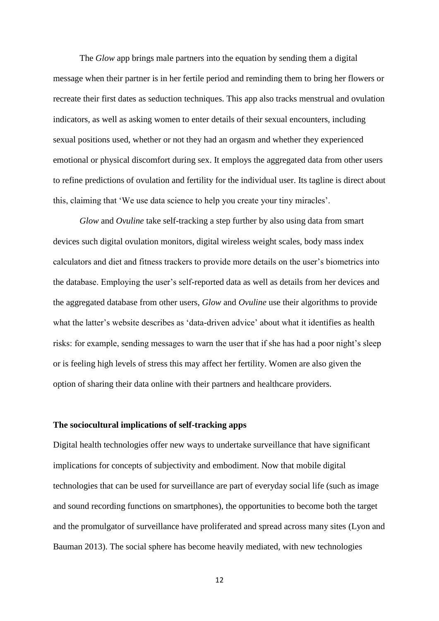The *Glow* app brings male partners into the equation by sending them a digital message when their partner is in her fertile period and reminding them to bring her flowers or recreate their first dates as seduction techniques. This app also tracks menstrual and ovulation indicators, as well as asking women to enter details of their sexual encounters, including sexual positions used, whether or not they had an orgasm and whether they experienced emotional or physical discomfort during sex. It employs the aggregated data from other users to refine predictions of ovulation and fertility for the individual user. Its tagline is direct about this, claiming that 'We use data science to help you create your tiny miracles'.

*Glow* and *Ovuline* take self-tracking a step further by also using data from smart devices such digital ovulation monitors, digital wireless weight scales, body mass index calculators and diet and fitness trackers to provide more details on the user's biometrics into the database. Employing the user's self-reported data as well as details from her devices and the aggregated database from other users, *Glow* and *Ovuline* use their algorithms to provide what the latter's website describes as 'data-driven advice' about what it identifies as health risks: for example, sending messages to warn the user that if she has had a poor night's sleep or is feeling high levels of stress this may affect her fertility. Women are also given the option of sharing their data online with their partners and healthcare providers.

# **The sociocultural implications of self-tracking apps**

Digital health technologies offer new ways to undertake surveillance that have significant implications for concepts of subjectivity and embodiment. Now that mobile digital technologies that can be used for surveillance are part of everyday social life (such as image and sound recording functions on smartphones), the opportunities to become both the target and the promulgator of surveillance have proliferated and spread across many sites (Lyon and Bauman 2013). The social sphere has become heavily mediated, with new technologies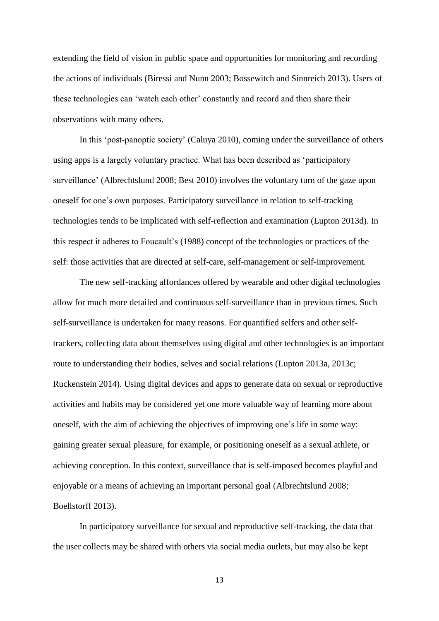extending the field of vision in public space and opportunities for monitoring and recording the actions of individuals (Biressi and Nunn 2003; Bossewitch and Sinnreich 2013). Users of these technologies can 'watch each other' constantly and record and then share their observations with many others.

In this 'post-panoptic society' (Caluya 2010), coming under the surveillance of others using apps is a largely voluntary practice. What has been described as 'participatory surveillance' (Albrechtslund 2008; Best 2010) involves the voluntary turn of the gaze upon oneself for one's own purposes. Participatory surveillance in relation to self-tracking technologies tends to be implicated with self-reflection and examination (Lupton 2013d). In this respect it adheres to Foucault's (1988) concept of the technologies or practices of the self: those activities that are directed at self-care, self-management or self-improvement.

The new self-tracking affordances offered by wearable and other digital technologies allow for much more detailed and continuous self-surveillance than in previous times. Such self-surveillance is undertaken for many reasons. For quantified selfers and other selftrackers, collecting data about themselves using digital and other technologies is an important route to understanding their bodies, selves and social relations (Lupton 2013a, 2013c; Ruckenstein 2014). Using digital devices and apps to generate data on sexual or reproductive activities and habits may be considered yet one more valuable way of learning more about oneself, with the aim of achieving the objectives of improving one's life in some way: gaining greater sexual pleasure, for example, or positioning oneself as a sexual athlete, or achieving conception. In this context, surveillance that is self-imposed becomes playful and enjoyable or a means of achieving an important personal goal (Albrechtslund 2008; Boellstorff 2013).

In participatory surveillance for sexual and reproductive self-tracking, the data that the user collects may be shared with others via social media outlets, but may also be kept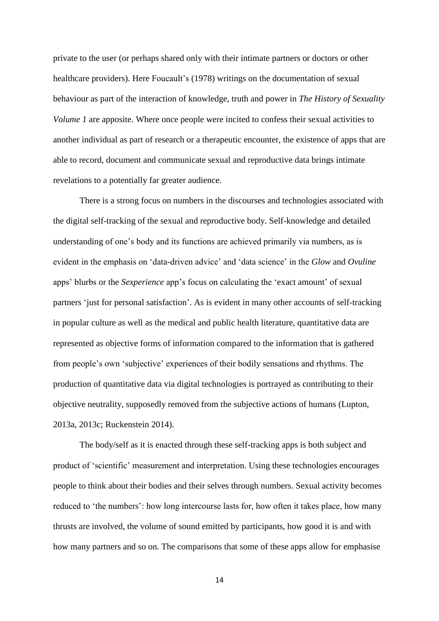private to the user (or perhaps shared only with their intimate partners or doctors or other healthcare providers). Here Foucault's (1978) writings on the documentation of sexual behaviour as part of the interaction of knowledge, truth and power in *The History of Sexuality Volume 1* are apposite. Where once people were incited to confess their sexual activities to another individual as part of research or a therapeutic encounter, the existence of apps that are able to record, document and communicate sexual and reproductive data brings intimate revelations to a potentially far greater audience.

There is a strong focus on numbers in the discourses and technologies associated with the digital self-tracking of the sexual and reproductive body. Self-knowledge and detailed understanding of one's body and its functions are achieved primarily via numbers, as is evident in the emphasis on 'data-driven advice' and 'data science' in the *Glow* and *Ovuline* apps' blurbs or the *Sexperience* app's focus on calculating the 'exact amount' of sexual partners 'just for personal satisfaction'. As is evident in many other accounts of self-tracking in popular culture as well as the medical and public health literature, quantitative data are represented as objective forms of information compared to the information that is gathered from people's own 'subjective' experiences of their bodily sensations and rhythms. The production of quantitative data via digital technologies is portrayed as contributing to their objective neutrality, supposedly removed from the subjective actions of humans (Lupton, 2013a, 2013c; Ruckenstein 2014).

The body/self as it is enacted through these self-tracking apps is both subject and product of 'scientific' measurement and interpretation. Using these technologies encourages people to think about their bodies and their selves through numbers. Sexual activity becomes reduced to 'the numbers': how long intercourse lasts for, how often it takes place, how many thrusts are involved, the volume of sound emitted by participants, how good it is and with how many partners and so on. The comparisons that some of these apps allow for emphasise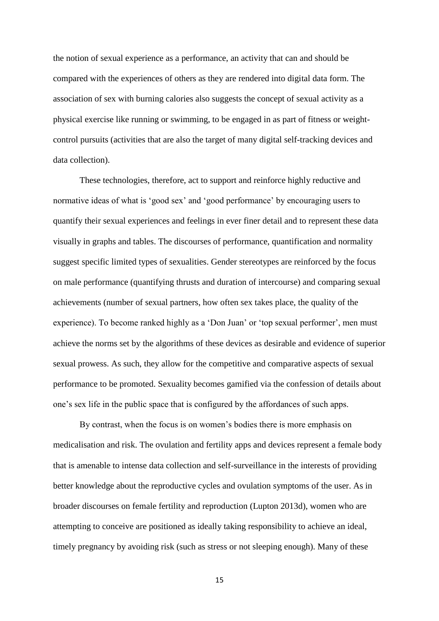the notion of sexual experience as a performance, an activity that can and should be compared with the experiences of others as they are rendered into digital data form. The association of sex with burning calories also suggests the concept of sexual activity as a physical exercise like running or swimming, to be engaged in as part of fitness or weightcontrol pursuits (activities that are also the target of many digital self-tracking devices and data collection).

These technologies, therefore, act to support and reinforce highly reductive and normative ideas of what is 'good sex' and 'good performance' by encouraging users to quantify their sexual experiences and feelings in ever finer detail and to represent these data visually in graphs and tables. The discourses of performance, quantification and normality suggest specific limited types of sexualities. Gender stereotypes are reinforced by the focus on male performance (quantifying thrusts and duration of intercourse) and comparing sexual achievements (number of sexual partners, how often sex takes place, the quality of the experience). To become ranked highly as a 'Don Juan' or 'top sexual performer', men must achieve the norms set by the algorithms of these devices as desirable and evidence of superior sexual prowess. As such, they allow for the competitive and comparative aspects of sexual performance to be promoted. Sexuality becomes gamified via the confession of details about one's sex life in the public space that is configured by the affordances of such apps.

By contrast, when the focus is on women's bodies there is more emphasis on medicalisation and risk. The ovulation and fertility apps and devices represent a female body that is amenable to intense data collection and self-surveillance in the interests of providing better knowledge about the reproductive cycles and ovulation symptoms of the user. As in broader discourses on female fertility and reproduction (Lupton 2013d), women who are attempting to conceive are positioned as ideally taking responsibility to achieve an ideal, timely pregnancy by avoiding risk (such as stress or not sleeping enough). Many of these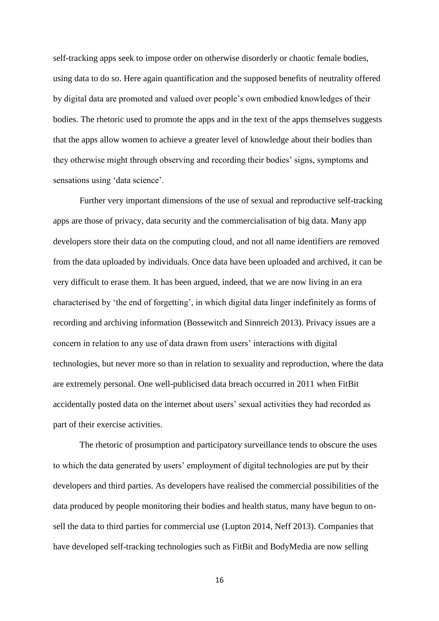self-tracking apps seek to impose order on otherwise disorderly or chaotic female bodies, using data to do so. Here again quantification and the supposed benefits of neutrality offered by digital data are promoted and valued over people's own embodied knowledges of their bodies. The rhetoric used to promote the apps and in the text of the apps themselves suggests that the apps allow women to achieve a greater level of knowledge about their bodies than they otherwise might through observing and recording their bodies' signs, symptoms and sensations using 'data science'.

Further very important dimensions of the use of sexual and reproductive self-tracking apps are those of privacy, data security and the commercialisation of big data. Many app developers store their data on the computing cloud, and not all name identifiers are removed from the data uploaded by individuals. Once data have been uploaded and archived, it can be very difficult to erase them. It has been argued, indeed, that we are now living in an era characterised by 'the end of forgetting', in which digital data linger indefinitely as forms of recording and archiving information (Bossewitch and Sinnreich 2013). Privacy issues are a concern in relation to any use of data drawn from users' interactions with digital technologies, but never more so than in relation to sexuality and reproduction, where the data are extremely personal. One well-publicised data breach occurred in 2011 when FitBit accidentally posted data on the internet about users' sexual activities they had recorded as part of their exercise activities.

The rhetoric of prosumption and participatory surveillance tends to obscure the uses to which the data generated by users' employment of digital technologies are put by their developers and third parties. As developers have realised the commercial possibilities of the data produced by people monitoring their bodies and health status, many have begun to onsell the data to third parties for commercial use (Lupton 2014, Neff 2013). Companies that have developed self-tracking technologies such as FitBit and BodyMedia are now selling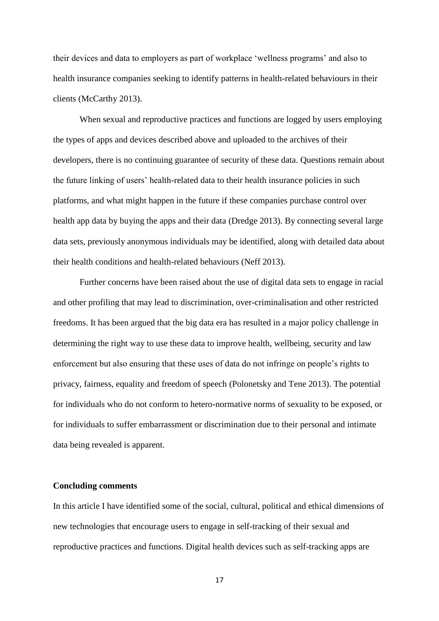their devices and data to employers as part of workplace 'wellness programs' and also to health insurance companies seeking to identify patterns in health-related behaviours in their clients (McCarthy 2013).

When sexual and reproductive practices and functions are logged by users employing the types of apps and devices described above and uploaded to the archives of their developers, there is no continuing guarantee of security of these data. Questions remain about the future linking of users' health-related data to their health insurance policies in such platforms, and what might happen in the future if these companies purchase control over health app data by buying the apps and their data (Dredge 2013). By connecting several large data sets, previously anonymous individuals may be identified, along with detailed data about their health conditions and health-related behaviours (Neff 2013).

Further concerns have been raised about the use of digital data sets to engage in racial and other profiling that may lead to discrimination, over-criminalisation and other restricted freedoms. It has been argued that the big data era has resulted in a major policy challenge in determining the right way to use these data to improve health, wellbeing, security and law enforcement but also ensuring that these uses of data do not infringe on people's rights to privacy, fairness, equality and freedom of speech (Polonetsky and Tene 2013). The potential for individuals who do not conform to hetero-normative norms of sexuality to be exposed, or for individuals to suffer embarrassment or discrimination due to their personal and intimate data being revealed is apparent.

#### **Concluding comments**

In this article I have identified some of the social, cultural, political and ethical dimensions of new technologies that encourage users to engage in self-tracking of their sexual and reproductive practices and functions. Digital health devices such as self-tracking apps are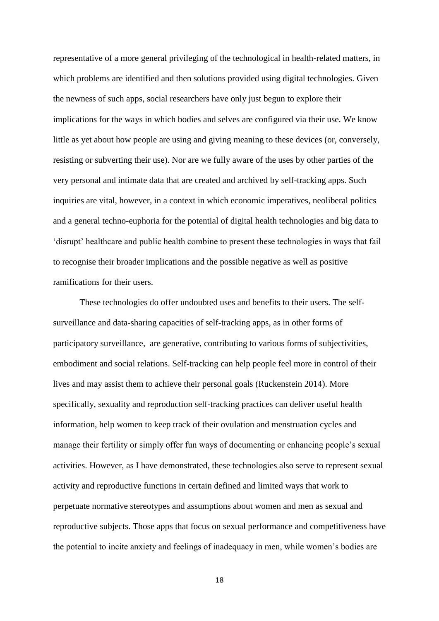representative of a more general privileging of the technological in health-related matters, in which problems are identified and then solutions provided using digital technologies. Given the newness of such apps, social researchers have only just begun to explore their implications for the ways in which bodies and selves are configured via their use. We know little as yet about how people are using and giving meaning to these devices (or, conversely, resisting or subverting their use). Nor are we fully aware of the uses by other parties of the very personal and intimate data that are created and archived by self-tracking apps. Such inquiries are vital, however, in a context in which economic imperatives, neoliberal politics and a general techno-euphoria for the potential of digital health technologies and big data to 'disrupt' healthcare and public health combine to present these technologies in ways that fail to recognise their broader implications and the possible negative as well as positive ramifications for their users.

These technologies do offer undoubted uses and benefits to their users. The selfsurveillance and data-sharing capacities of self-tracking apps, as in other forms of participatory surveillance, are generative, contributing to various forms of subjectivities, embodiment and social relations. Self-tracking can help people feel more in control of their lives and may assist them to achieve their personal goals (Ruckenstein 2014). More specifically, sexuality and reproduction self-tracking practices can deliver useful health information, help women to keep track of their ovulation and menstruation cycles and manage their fertility or simply offer fun ways of documenting or enhancing people's sexual activities. However, as I have demonstrated, these technologies also serve to represent sexual activity and reproductive functions in certain defined and limited ways that work to perpetuate normative stereotypes and assumptions about women and men as sexual and reproductive subjects. Those apps that focus on sexual performance and competitiveness have the potential to incite anxiety and feelings of inadequacy in men, while women's bodies are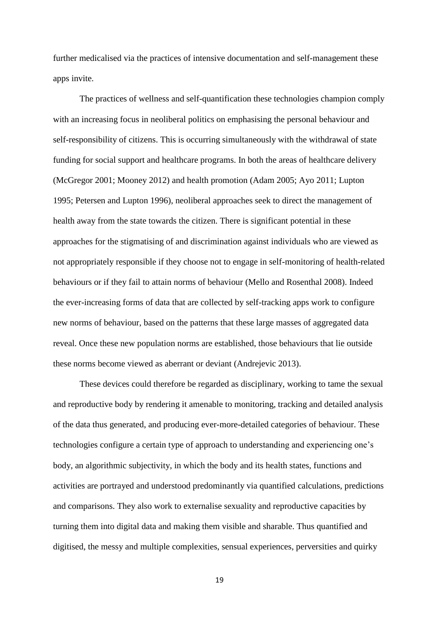further medicalised via the practices of intensive documentation and self-management these apps invite.

The practices of wellness and self-quantification these technologies champion comply with an increasing focus in neoliberal politics on emphasising the personal behaviour and self-responsibility of citizens. This is occurring simultaneously with the withdrawal of state funding for social support and healthcare programs. In both the areas of healthcare delivery (McGregor 2001; Mooney 2012) and health promotion (Adam 2005; Ayo 2011; Lupton 1995; Petersen and Lupton 1996), neoliberal approaches seek to direct the management of health away from the state towards the citizen. There is significant potential in these approaches for the stigmatising of and discrimination against individuals who are viewed as not appropriately responsible if they choose not to engage in self-monitoring of health-related behaviours or if they fail to attain norms of behaviour (Mello and Rosenthal 2008). Indeed the ever-increasing forms of data that are collected by self-tracking apps work to configure new norms of behaviour, based on the patterns that these large masses of aggregated data reveal. Once these new population norms are established, those behaviours that lie outside these norms become viewed as aberrant or deviant (Andrejevic 2013).

These devices could therefore be regarded as disciplinary, working to tame the sexual and reproductive body by rendering it amenable to monitoring, tracking and detailed analysis of the data thus generated, and producing ever-more-detailed categories of behaviour. These technologies configure a certain type of approach to understanding and experiencing one's body, an algorithmic subjectivity, in which the body and its health states, functions and activities are portrayed and understood predominantly via quantified calculations, predictions and comparisons. They also work to externalise sexuality and reproductive capacities by turning them into digital data and making them visible and sharable. Thus quantified and digitised, the messy and multiple complexities, sensual experiences, perversities and quirky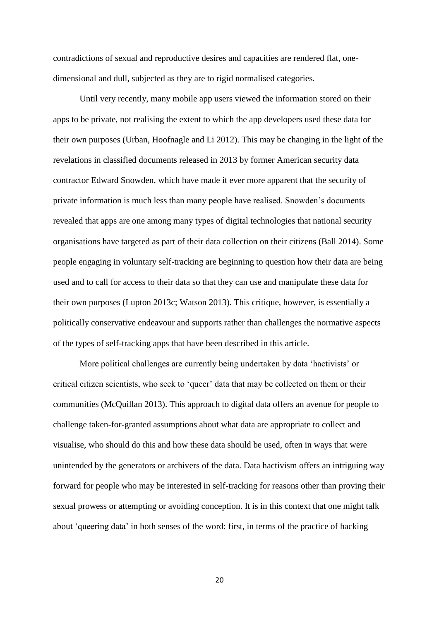contradictions of sexual and reproductive desires and capacities are rendered flat, onedimensional and dull, subjected as they are to rigid normalised categories.

Until very recently, many mobile app users viewed the information stored on their apps to be private, not realising the extent to which the app developers used these data for their own purposes (Urban, Hoofnagle and Li 2012). This may be changing in the light of the revelations in classified documents released in 2013 by former American security data contractor Edward Snowden, which have made it ever more apparent that the security of private information is much less than many people have realised. Snowden's documents revealed that apps are one among many types of digital technologies that national security organisations have targeted as part of their data collection on their citizens (Ball 2014). Some people engaging in voluntary self-tracking are beginning to question how their data are being used and to call for access to their data so that they can use and manipulate these data for their own purposes (Lupton 2013c; Watson 2013). This critique, however, is essentially a politically conservative endeavour and supports rather than challenges the normative aspects of the types of self-tracking apps that have been described in this article.

More political challenges are currently being undertaken by data 'hactivists' or critical citizen scientists, who seek to 'queer' data that may be collected on them or their communities (McQuillan 2013). This approach to digital data offers an avenue for people to challenge taken-for-granted assumptions about what data are appropriate to collect and visualise, who should do this and how these data should be used, often in ways that were unintended by the generators or archivers of the data. Data hactivism offers an intriguing way forward for people who may be interested in self-tracking for reasons other than proving their sexual prowess or attempting or avoiding conception. It is in this context that one might talk about 'queering data' in both senses of the word: first, in terms of the practice of hacking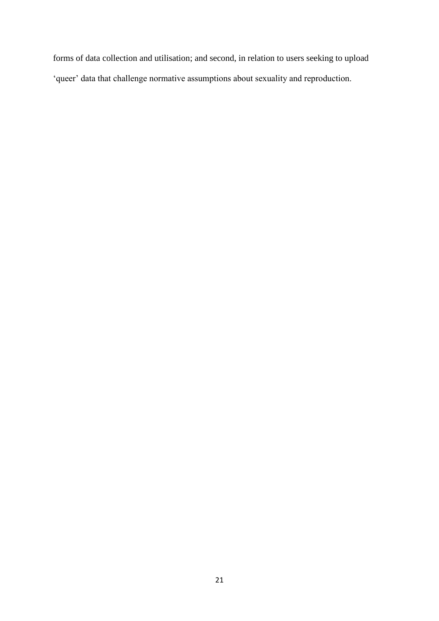forms of data collection and utilisation; and second, in relation to users seeking to upload 'queer' data that challenge normative assumptions about sexuality and reproduction.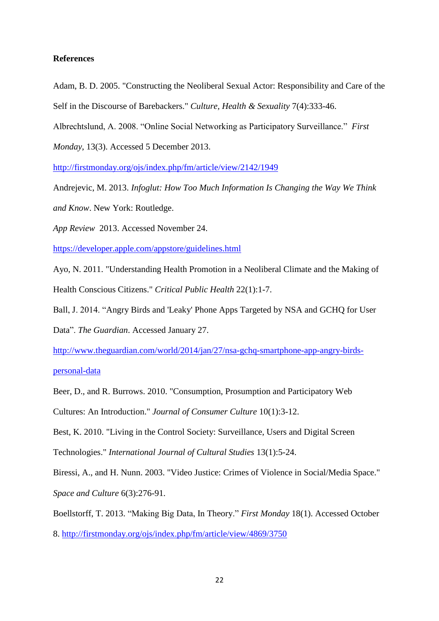### **References**

Adam, B. D. 2005. "Constructing the Neoliberal Sexual Actor: Responsibility and Care of the Self in the Discourse of Barebackers." *Culture, Health & Sexuality* 7(4):333-46.

Albrechtslund, A. 2008. "Online Social Networking as Participatory Surveillance." *First* 

*Monday*, 13(3). Accessed 5 December 2013.

<http://firstmonday.org/ojs/index.php/fm/article/view/2142/1949>

Andrejevic, M. 2013. *Infoglut: How Too Much Information Is Changing the Way We Think* 

*and Know*. New York: Routledge.

*App Review* 2013. Accessed November 24.

<https://developer.apple.com/appstore/guidelines.html>

Ayo, N. 2011. "Understanding Health Promotion in a Neoliberal Climate and the Making of Health Conscious Citizens." *Critical Public Health* 22(1):1-7.

Ball, J. 2014. "Angry Birds and 'Leaky' Phone Apps Targeted by NSA and GCHQ for User Data". *The Guardian*. Accessed January 27.

[http://www.theguardian.com/world/2014/jan/27/nsa-gchq-smartphone-app-angry-birds-](http://www.theguardian.com/world/2014/jan/27/nsa-gchq-smartphone-app-angry-birds-personal-data)

[personal-data](http://www.theguardian.com/world/2014/jan/27/nsa-gchq-smartphone-app-angry-birds-personal-data)

Beer, D., and R. Burrows. 2010. "Consumption, Prosumption and Participatory Web Cultures: An Introduction." *Journal of Consumer Culture* 10(1):3-12.

Best, K. 2010. "Living in the Control Society: Surveillance, Users and Digital Screen Technologies." *International Journal of Cultural Studies* 13(1):5-24.

Biressi, A., and H. Nunn. 2003. "Video Justice: Crimes of Violence in Social/Media Space." *Space and Culture* 6(3):276-91.

Boellstorff, T. 2013. "Making Big Data, In Theory." *First Monday* 18(1). Accessed October 8.<http://firstmonday.org/ojs/index.php/fm/article/view/4869/3750>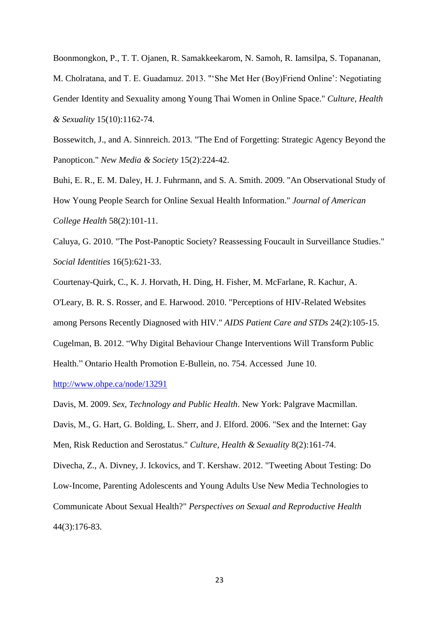Boonmongkon, P., T. T. Ojanen, R. Samakkeekarom, N. Samoh, R. Iamsilpa, S. Topananan, M. Cholratana, and T. E. Guadamuz. 2013. "'She Met Her (Boy)Friend Online': Negotiating Gender Identity and Sexuality among Young Thai Women in Online Space." *Culture, Health & Sexuality* 15(10):1162-74.

Bossewitch, J., and A. Sinnreich. 2013. "The End of Forgetting: Strategic Agency Beyond the Panopticon." *New Media & Society* 15(2):224-42.

Buhi, E. R., E. M. Daley, H. J. Fuhrmann, and S. A. Smith. 2009. "An Observational Study of How Young People Search for Online Sexual Health Information." *Journal of American College Health* 58(2):101-11.

Caluya, G. 2010. "The Post-Panoptic Society? Reassessing Foucault in Surveillance Studies." *Social Identities* 16(5):621-33.

Courtenay-Quirk, C., K. J. Horvath, H. Ding, H. Fisher, M. McFarlane, R. Kachur, A.

O'Leary, B. R. S. Rosser, and E. Harwood. 2010. "Perceptions of HIV-Related Websites

among Persons Recently Diagnosed with HIV." *AIDS Patient Care and STDs* 24(2):105-15.

Cugelman, B. 2012. "Why Digital Behaviour Change Interventions Will Transform Public

Health." Ontario Health Promotion E-Bullein, no. 754. Accessed June 10.

<http://www.ohpe.ca/node/13291>

Davis, M. 2009. *Sex, Technology and Public Health*. New York: Palgrave Macmillan.

Davis, M., G. Hart, G. Bolding, L. Sherr, and J. Elford. 2006. "Sex and the Internet: Gay Men, Risk Reduction and Serostatus." *Culture, Health & Sexuality* 8(2):161-74.

Divecha, Z., A. Divney, J. Ickovics, and T. Kershaw. 2012. "Tweeting About Testing: Do

Low‐Income, Parenting Adolescents and Young Adults Use New Media Technologies to

Communicate About Sexual Health?" *Perspectives on Sexual and Reproductive Health* 44(3):176-83.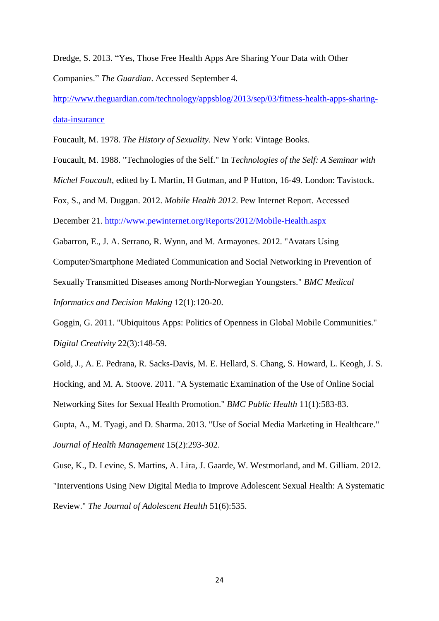Dredge, S. 2013. "Yes, Those Free Health Apps Are Sharing Your Data with Other Companies." *The Guardian*. Accessed September 4.

[http://www.theguardian.com/technology/appsblog/2013/sep/03/fitness-health-apps-sharing](http://www.theguardian.com/technology/appsblog/2013/sep/03/fitness-health-apps-sharing-data-insurance)[data-insurance](http://www.theguardian.com/technology/appsblog/2013/sep/03/fitness-health-apps-sharing-data-insurance)

Foucault, M. 1978. *The History of Sexuality*. New York: Vintage Books.

Foucault, M. 1988. "Technologies of the Self." In *Technologies of the Self: A Seminar with Michel Foucault*, edited by L Martin, H Gutman, and P Hutton, 16-49. London: Tavistock. Fox, S., and M. Duggan. 2012. *Mobile Health 2012*. Pew Internet Report. Accessed December 21.<http://www.pewinternet.org/Reports/2012/Mobile-Health.aspx> Gabarron, E., J. A. Serrano, R. Wynn, and M. Armayones. 2012. "Avatars Using Computer/Smartphone Mediated Communication and Social Networking in Prevention of Sexually Transmitted Diseases among North-Norwegian Youngsters." *BMC Medical Informatics and Decision Making* 12(1):120-20.

Goggin, G. 2011. "Ubiquitous Apps: Politics of Openness in Global Mobile Communities." *Digital Creativity* 22(3):148-59.

Gold, J., A. E. Pedrana, R. Sacks-Davis, M. E. Hellard, S. Chang, S. Howard, L. Keogh, J. S. Hocking, and M. A. Stoove. 2011. "A Systematic Examination of the Use of Online Social Networking Sites for Sexual Health Promotion." *BMC Public Health* 11(1):583-83.

Gupta, A., M. Tyagi, and D. Sharma. 2013. "Use of Social Media Marketing in Healthcare." *Journal of Health Management* 15(2):293-302.

Guse, K., D. Levine, S. Martins, A. Lira, J. Gaarde, W. Westmorland, and M. Gilliam. 2012. "Interventions Using New Digital Media to Improve Adolescent Sexual Health: A Systematic Review." *The Journal of Adolescent Health* 51(6):535.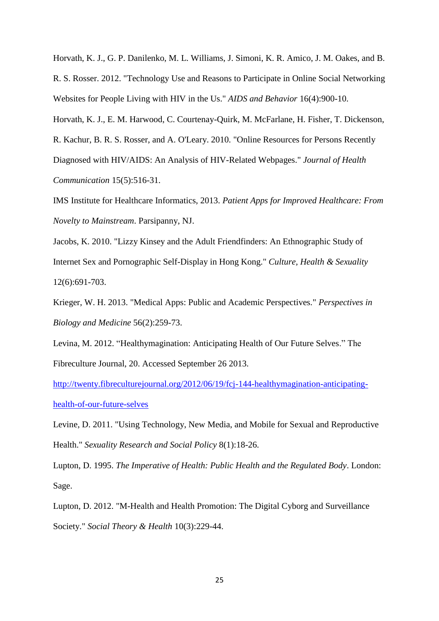Horvath, K. J., G. P. Danilenko, M. L. Williams, J. Simoni, K. R. Amico, J. M. Oakes, and B. R. S. Rosser. 2012. "Technology Use and Reasons to Participate in Online Social Networking Websites for People Living with HIV in the Us." *AIDS and Behavior* 16(4):900-10.

Horvath, K. J., E. M. Harwood, C. Courtenay-Quirk, M. McFarlane, H. Fisher, T. Dickenson,

R. Kachur, B. R. S. Rosser, and A. O'Leary. 2010. "Online Resources for Persons Recently Diagnosed with HIV/AIDS: An Analysis of HIV-Related Webpages." *Journal of Health* 

*Communication* 15(5):516-31.

IMS Institute for Healthcare Informatics, 2013. *Patient Apps for Improved Healthcare: From Novelty to Mainstream*. Parsipanny, NJ.

Jacobs, K. 2010. "Lizzy Kinsey and the Adult Friendfinders: An Ethnographic Study of Internet Sex and Pornographic Self-Display in Hong Kong." *Culture, Health & Sexuality* 12(6):691-703.

Krieger, W. H. 2013. "Medical Apps: Public and Academic Perspectives." *Perspectives in Biology and Medicine* 56(2):259-73.

Levina, M. 2012. "Healthymagination: Anticipating Health of Our Future Selves." The Fibreculture Journal, 20. Accessed September 26 2013.

[http://twenty.fibreculturejournal.org/2012/06/19/fcj-144-healthymagination-anticipating](http://twenty.fibreculturejournal.org/2012/06/19/fcj-144-healthymagination-anticipating-health-of-our-future-selves)[health-of-our-future-selves](http://twenty.fibreculturejournal.org/2012/06/19/fcj-144-healthymagination-anticipating-health-of-our-future-selves)

Levine, D. 2011. "Using Technology, New Media, and Mobile for Sexual and Reproductive Health." *Sexuality Research and Social Policy* 8(1):18-26.

Lupton, D. 1995. *The Imperative of Health: Public Health and the Regulated Body*. London: Sage.

Lupton, D. 2012. "M-Health and Health Promotion: The Digital Cyborg and Surveillance Society." *Social Theory & Health* 10(3):229-44.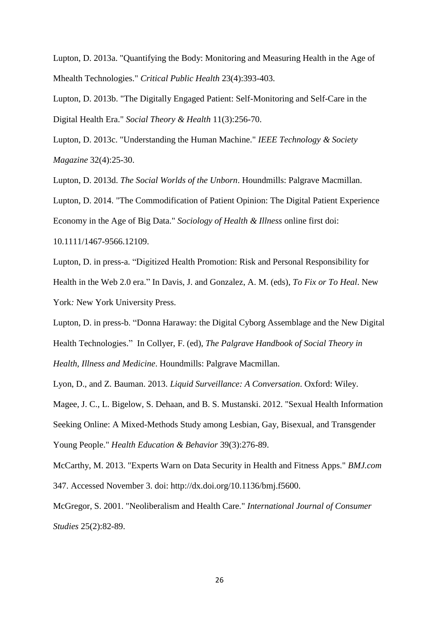Lupton, D. 2013a. "Quantifying the Body: Monitoring and Measuring Health in the Age of Mhealth Technologies." *Critical Public Health* 23(4):393-403.

Lupton, D. 2013b. "The Digitally Engaged Patient: Self-Monitoring and Self-Care in the Digital Health Era." *Social Theory & Health* 11(3):256-70.

Lupton, D. 2013c. "Understanding the Human Machine." *IEEE Technology & Society Magazine* 32(4):25-30.

Lupton, D. 2013d. *The Social Worlds of the Unborn*. Houndmills: Palgrave Macmillan.

Lupton, D. 2014. "The Commodification of Patient Opinion: The Digital Patient Experience Economy in the Age of Big Data." *Sociology of Health & Illness* online first doi: 10.1111/1467-9566.12109.

Lupton, D. in press-a. "Digitized Health Promotion: Risk and Personal Responsibility for Health in the Web 2.0 era." In Davis, J. and Gonzalez, A. M. (eds), *To Fix or To Heal*. New York*:* New York University Press.

Lupton, D. in press-b. "Donna Haraway: the Digital Cyborg Assemblage and the New Digital Health Technologies." In Collyer, F. (ed), *The Palgrave Handbook of Social Theory in Health, Illness and Medicine*. Houndmills: Palgrave Macmillan.

Lyon, D., and Z. Bauman. 2013. *Liquid Surveillance: A Conversation*. Oxford: Wiley.

Magee, J. C., L. Bigelow, S. Dehaan, and B. S. Mustanski. 2012. "Sexual Health Information Seeking Online: A Mixed-Methods Study among Lesbian, Gay, Bisexual, and Transgender Young People." *Health Education & Behavior* 39(3):276-89.

McCarthy, M. 2013. "Experts Warn on Data Security in Health and Fitness Apps." *BMJ.com* 347. Accessed November 3. doi: http://dx.doi.org/10.1136/bmj.f5600.

McGregor, S. 2001. "Neoliberalism and Health Care." *International Journal of Consumer Studies* 25(2):82-89.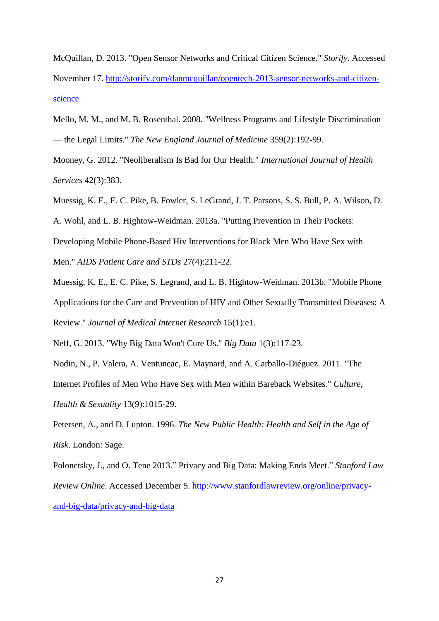McQuillan, D. 2013. "Open Sensor Networks and Critical Citizen Science." *Storify*. Accessed November 17. [http://storify.com/danmcquillan/opentech-2013-sensor-networks-and-citizen](http://storify.com/danmcquillan/opentech-2013-sensor-networks-and-citizen-science)[science](http://storify.com/danmcquillan/opentech-2013-sensor-networks-and-citizen-science)

Mello, M. M., and M. B. Rosenthal. 2008. "Wellness Programs and Lifestyle Discrimination — the Legal Limits." *The New England Journal of Medicine* 359(2):192-99.

Mooney, G. 2012. "Neoliberalism Is Bad for Our Health." *International Journal of Health Services* 42(3):383.

Muessig, K. E., E. C. Pike, B. Fowler, S. LeGrand, J. T. Parsons, S. S. Bull, P. A. Wilson, D.

A. Wohl, and L. B. Hightow-Weidman. 2013a. "Putting Prevention in Their Pockets:

Developing Mobile Phone-Based Hiv Interventions for Black Men Who Have Sex with Men." *AIDS Patient Care and STDs* 27(4):211-22.

Muessig, K. E., E. C. Pike, S. Legrand, and L. B. Hightow-Weidman. 2013b. "Mobile Phone Applications for the Care and Prevention of HIV and Other Sexually Transmitted Diseases: A Review." *Journal of Medical Internet Research* 15(1):e1.

Neff, G. 2013. "Why Big Data Won't Cure Us." *Big Data* 1(3):117-23.

Nodin, N., P. Valera, A. Ventuneac, E. Maynard, and A. Carballo-Diéguez. 2011. "The Internet Profiles of Men Who Have Sex with Men within Bareback Websites." *Culture, Health & Sexuality* 13(9):1015-29.

Petersen, A., and D. Lupton. 1996. *The New Public Health: Health and Self in the Age of Risk*. London: Sage.

Polonetsky, J., and O. Tene 2013." Privacy and Big Data: Making Ends Meet." *Stanford Law Review Online*. Accessed December 5. [http://www.stanfordlawreview.org/online/privacy](http://www.stanfordlawreview.org/online/privacy-and-big-data/privacy-and-big-data)[and-big-data/privacy-and-big-data](http://www.stanfordlawreview.org/online/privacy-and-big-data/privacy-and-big-data)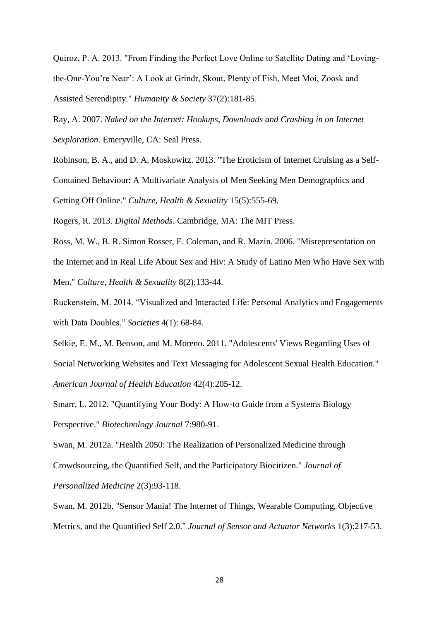Quiroz, P. A. 2013. "From Finding the Perfect Love Online to Satellite Dating and 'Lovingthe-One-You're Near': A Look at Grindr, Skout, Plenty of Fish, Meet Moi, Zoosk and Assisted Serendipity." *Humanity & Society* 37(2):181-85.

Ray, A. 2007. *Naked on the Internet: Hookups, Downloads and Crashing in on Internet Sexploration*. Emeryville, CA: Seal Press.

Robinson, B. A., and D. A. Moskowitz. 2013. "The Eroticism of Internet Cruising as a Self-Contained Behaviour: A Multivariate Analysis of Men Seeking Men Demographics and Getting Off Online." *Culture, Health & Sexuality* 15(5):555-69.

Rogers, R. 2013. *Digital Methods*. Cambridge, MA: The MIT Press.

Ross, M. W., B. R. Simon Rosser, E. Coleman, and R. Mazin. 2006. "Misrepresentation on the Internet and in Real Life About Sex and Hiv: A Study of Latino Men Who Have Sex with Men." *Culture, Health & Sexuality* 8(2):133-44.

Ruckenstein, M. 2014. "Visualized and Interacted Life: Personal Analytics and Engagements with Data Doubles." *Societies* 4(1): 68-84.

Selkie, E. M., M. Benson, and M. Moreno. 2011. "Adolescents' Views Regarding Uses of Social Networking Websites and Text Messaging for Adolescent Sexual Health Education." *American Journal of Health Education* 42(4):205-12.

Smarr, L. 2012. "Quantifying Your Body: A How-to Guide from a Systems Biology Perspective." *Biotechnology Journal* 7:980-91.

Swan, M. 2012a. "Health 2050: The Realization of Personalized Medicine through Crowdsourcing, the Quantified Self, and the Participatory Biocitizen." *Journal of Personalized Medicine* 2(3):93-118.

Swan, M. 2012b. "Sensor Mania! The Internet of Things, Wearable Computing, Objective Metrics, and the Quantified Self 2.0." *Journal of Sensor and Actuator Networks* 1(3):217-53.